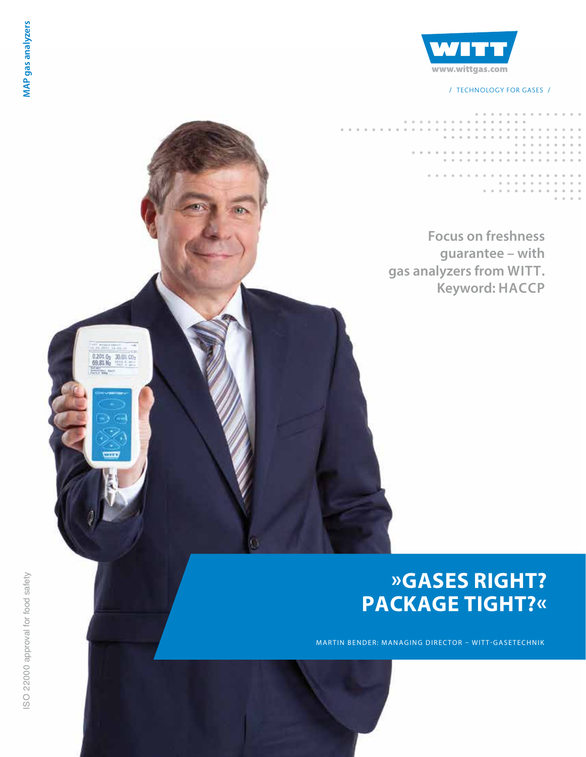

/ TECHNOLOGY FOR GASES /

# **Focus on freshness guarantee – with gas analyzers from WITT. Keyword: HACCP** $\begin{array}{ll} 0.201\, \mathrm{G}_2 & 30.01\, \mathrm{G}_2 \\ 69.81\, \mathrm{M}_2 & 111.1\, \mathrm{G}_2 \end{array}$

# **»GASES RIGHT? PACKAGE TIGHT?«**

MARTIN BENDER: MANAGING DIRECTOR – WITT-GASETECHNIK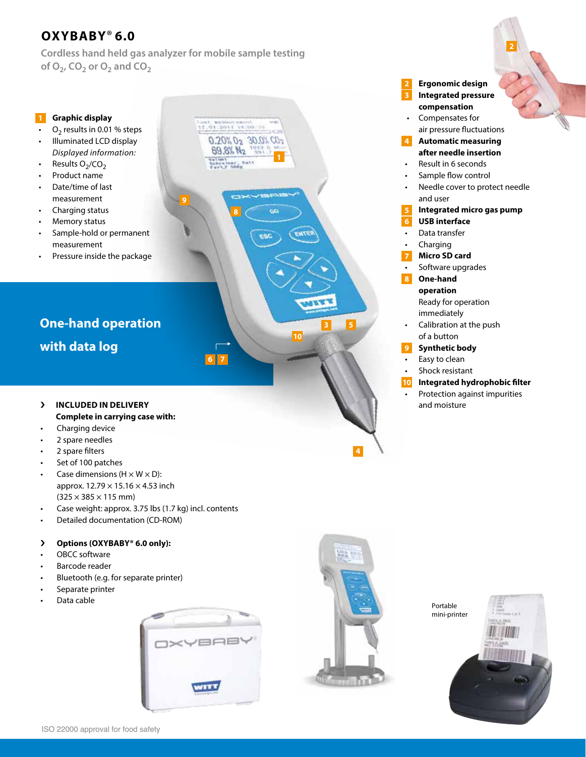# **OXYBABY**® **6.0**

**Cordless hand held gas analyzer for mobile sample testing**  of  $O_2$ ,  $CO_2$  or  $O_2$  and  $CO_2$ 

**9**

**8**

2012/07/19 19:00

 $0.20\%$   $0_2$   $30.0\%$   $00$ 69.8% N<sub>2</sub>

**6 7**

# **Graphic display**

- $O<sub>2</sub>$  results in 0.01 % steps • Illuminated LCD display
- *Displayed information:*
- Results  $O<sub>2</sub>/CO<sub>2</sub>$
- Product name
- Date/time of last measurement
- Charging status
- Memory status
- Sample-hold or permanent measurement
- Pressure inside the package

# **One-hand operation with data log**

- › **INCLUDED IN DELIVERY Complete in carrying case with:**
- Charging device
- 2 spare needles
- 2 spare filters
- Set of 100 patches
- Case dimensions ( $H \times W \times D$ ): approx.  $12.79 \times 15.16 \times 4.53$  inch  $(325 \times 385 \times 115 \text{ mm})$
- Case weight: approx. 3.75 lbs (1.7 kg) incl. contents
- Detailed documentation (CD-ROM)

# › **Options (OXYBABY® 6.0 only):**

- OBCC software
- Barcode reader
- Bluetooth (e.g. for separate printer)
- Separate printer
- Data cable





**4**

**3 5**

**10**

Portable mini-printer



**after needle insertion** • Result in 6 seconds Sample flow control Needle cover to protect needle and user **Integrated micro gas pump USB interface** Data transfer **Charging Micro SD card** Software upgrades **One-hand operation** Ready for operation immediately

• **Ergonomic design** • **Integrated pressure compensation** • Compensates for air pressure fluctuations **Automatic measuring** 

**3**

**4**

**7**

**8**

**6**

**2**

- Calibration at the push of a button
- **Synthetic body 9**
- Easy to clean
- Shock resistant
- **Integrated hydrophobic filter 10**
- Protection against impurities and moisture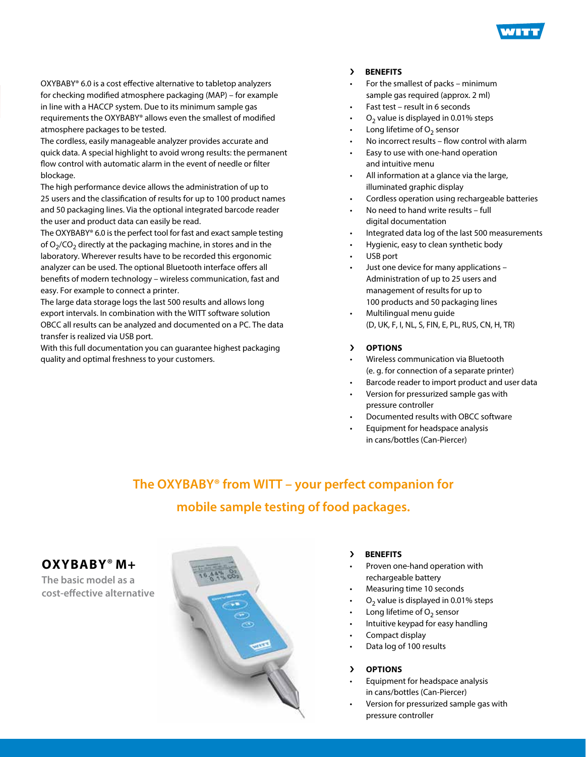

OXYBABY® 6.0 is a cost effective alternative to tabletop analyzers for checking modified atmosphere packaging (MAP) – for example in line with a HACCP system. Due to its minimum sample gas requirements the OXYBABY® allows even the smallest of modified atmosphere packages to be tested.

The cordless, easily manageable analyzer provides accurate and quick data. A special highlight to avoid wrong results: the permanent flow control with automatic alarm in the event of needle or filter blockage.

The high performance device allows the administration of up to 25 users and the classification of results for up to 100 product names and 50 packaging lines. Via the optional integrated barcode reader the user and product data can easily be read.

The OXYBABY® 6.0 is the perfect tool for fast and exact sample testing of  $O<sub>2</sub>/CO<sub>2</sub>$  directly at the packaging machine, in stores and in the laboratory. Wherever results have to be recorded this ergonomic analyzer can be used. The optional Bluetooth interface offers all benefits of modern technology – wireless communication, fast and easy. For example to connect a printer.

The large data storage logs the last 500 results and allows long export intervals. In combination with the WITT software solution OBCC all results can be analyzed and documented on a PC. The data transfer is realized via USB port.

With this full documentation you can guarantee highest packaging quality and optimal freshness to your customers.

# › **BENEFITS**

- For the smallest of packs minimum sample gas required (approx. 2 ml)
- Fast test result in 6 seconds
- $O<sub>2</sub>$  value is displayed in 0.01% steps
- Long lifetime of  $O<sub>2</sub>$  sensor
- No incorrect results flow control with alarm
- Easy to use with one-hand operation and intuitive menu
- All information at a glance via the large, illuminated graphic display
- Cordless operation using rechargeable batteries
- No need to hand write results full digital documentation
- Integrated data log of the last 500 measurements
- Hygienic, easy to clean synthetic body
- USB port
- Just one device for many applications Administration of up to 25 users and management of results for up to 100 products and 50 packaging lines
- Multilingual menu guide (D, UK, F, I, NL, S, FIN, E, PL, RUS, CN, H, TR)

# › **OPTIONS**

- Wireless communication via Bluetooth (e. g. for connection of a separate printer)
- Barcode reader to import product and user data
- Version for pressurized sample gas with pressure controller
- Documented results with OBCC software
- Equipment for headspace analysis in cans/bottles (Can-Piercer)

# **The OXYBABY® from WITT – your perfect companion for mobile sample testing of food packages.**

# **OXYBABY**® **M+**

**The basic model as a cost-effective alternative** 



# › **BENEFITS**

- Proven one-hand operation with rechargeable battery
- Measuring time 10 seconds
- $O<sub>2</sub>$  value is displayed in 0.01% steps
- Long lifetime of  $O<sub>2</sub>$  sensor
- Intuitive keypad for easy handling
- Compact display
- Data log of 100 results

# › **OPTIONS**

- Equipment for headspace analysis in cans/bottles (Can-Piercer)
- Version for pressurized sample gas with pressure controller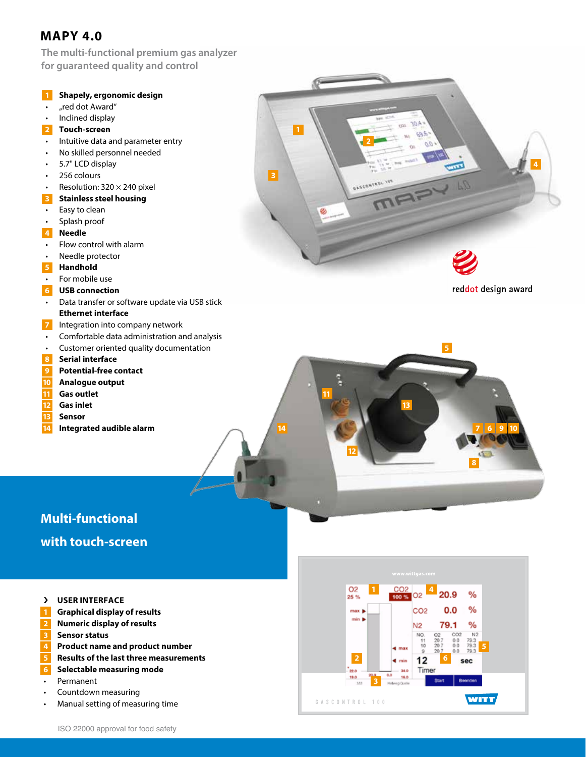# **MAPY 4.0**

**The multi-functional premium gas analyzer for guaranteed quality and control**



# **Multi-functional with touch-screen**

- › **USER INTERFACE**
- **1** Graphical display of results
- **Numeric display of results 2**
- **Sensor status 3**
- **Product name and product number 4**
- **Results of the last three measurements 5**
- **Selectable measuring mode 6**
- Permanent
- Countdown measuring
- Manual setting of measuring time

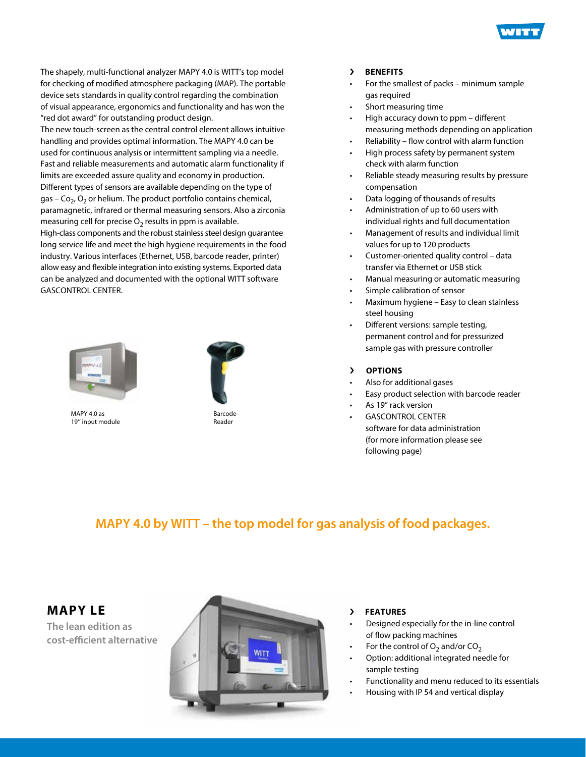

The shapely, multi-functional analyzer MAPY 4.0 is WITT's top model for checking of modified atmosphere packaging (MAP). The portable device sets standards in quality control regarding the combination of visual appearance, ergonomics and functionality and has won the "red dot award" for outstanding product design.

The new touch-screen as the central control element allows intuitive handling and provides optimal information. The MAPY 4.0 can be used for continuous analysis or intermittent sampling via a needle. Fast and reliable measurements and automatic alarm functionality if limits are exceeded assure quality and economy in production. Different types of sensors are available depending on the type of gas – Co<sub>2</sub>, O<sub>2</sub> or helium. The product portfolio contains chemical, paramagnetic, infrared or thermal measuring sensors. Also a zirconia measuring cell for precise  $O<sub>2</sub>$  results in ppm is available. High-class components and the robust stainless steel design guarantee long service life and meet the high hygiene requirements in the food industry. Various interfaces (Ethernet, USB, barcode reader, printer) allow easy and flexible integration into existing systems. Exported data can be analyzed and documented with the optional WITT software GASCONTROL CENTER.



MAPY 4.0 as 19'' input module



Barcode-Reader

# › **BENEFITS**

- For the smallest of packs minimum sample gas required
- Short measuring time
- High accuracy down to ppm different measuring methods depending on application
- Reliability flow control with alarm function
- High process safety by permanent system check with alarm function
- Reliable steady measuring results by pressure compensation
- Data logging of thousands of results
- Administration of up to 60 users with individual rights and full documentation
- Management of results and individual limit values for up to 120 products
- Customer-oriented quality control data transfer via Ethernet or USB stick
- Manual measuring or automatic measuring
- Simple calibration of sensor
- Maximum hygiene Easy to clean stainless steel housing
- Different versions: sample testing, permanent control and for pressurized sample gas with pressure controller

# › **OPTIONS**

- Also for additional gases
- Easy product selection with barcode reader
- As 19" rack version
- **GASCONTROL CENTER**  software for data administration (for more information please see following page)

# **MAPY 4.0 by WITT – the top model for gas analysis of food packages.**

**MAPY LE**

**The lean edition as cost-efficient alternative**



- › **FEATURES**
- Designed especially for the in-line control of flow packing machines
- For the control of  $O_2$  and/or  $CO_2$
- Option: additional integrated needle for sample testing
- Functionality and menu reduced to its essentials
- Housing with IP 54 and vertical display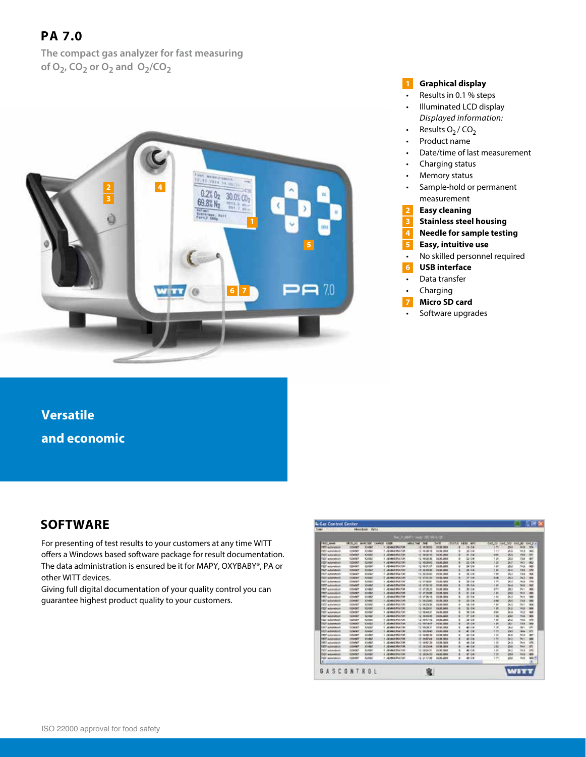# **PA 7.0**

**The compact gas analyzer for fast measuring**  of  $O_2$ ,  $CO_2$  or  $O_2$  and  $O_2$ / $CO_2$ 



# **Graphical display 1**

- Results in 0.1 % steps
- Illuminated LCD display *Displayed information:*
- Results  $O_2$  /  $CO_2$
- Product name
	- Date/time of last measurement
	- Charging status
	- Memory status
	- Sample-hold or permanent measurement
- **Easy cleaning 2**
- **Stainless steel housing 3**
- **Needle for sample testing 4**
- **Easy, intuitive use 5**
- No skilled personnel required
- **USB interface 6**
- Data transfer
- Charging
- **Micro SD card**
- Software upgrades

**Versatile and economic**

# **SOFTWARE**

For presenting of test results to your customers at any time WITT offers a Windows based software package for result documentation. The data administration is ensured be it for MAPY, OXYBABY®, PA or other WITT devices.

Giving full digital documentation of your quality control you can guarantee highest product quality to your customers.

| <b>TROC-MANT</b><br><b>TEST AUGUSTUS</b><br><b>INC</b> advertisers<br>FELT automateur<br><b>FEW automateurs</b><br><b>KEST Automaticals</b><br><b>TEST automateur</b> | WOD (40)<br>1254567<br>EIGHNE<br><b>YOSHNE</b><br>1204567<br>1/24307 | Broll CDP<br>10494<br>12460<br><b>Kinder</b><br>12/08/ | Two 27 Mill 17<br><b>HANDE</b><br><b>AIRE</b><br><b>RIVER BUTA</b><br>ADMIENCES | an att Mid. or<br><b>Will Tod</b><br><b>TM</b><br>12 15 56 45 | <b>SAW</b><br>15.96.988 | <b>STATUS</b> | <b>LEW MAY</b> | 448.00   | Get 100     | OALAD GALLY A |                  |
|-----------------------------------------------------------------------------------------------------------------------------------------------------------------------|----------------------------------------------------------------------|--------------------------------------------------------|---------------------------------------------------------------------------------|---------------------------------------------------------------|-------------------------|---------------|----------------|----------|-------------|---------------|------------------|
|                                                                                                                                                                       |                                                                      |                                                        |                                                                                 |                                                               |                         |               |                |          |             |               |                  |
|                                                                                                                                                                       |                                                                      |                                                        |                                                                                 |                                                               |                         |               |                |          |             |               |                  |
|                                                                                                                                                                       |                                                                      |                                                        |                                                                                 |                                                               |                         |               | 16.08          | 1.91     | <b>Mid</b>  | m.            | 104              |
|                                                                                                                                                                       |                                                                      |                                                        |                                                                                 | <b>CC. FK 39716</b>                                           | <b>JA W. JAKK</b>       |               | 30.00          | 3 3 3    | <b>Sint</b> | 34.3          | <b>DATE</b>      |
|                                                                                                                                                                       |                                                                      |                                                        | <b>ADMINISTRATIVE</b>                                                           | <b>CE swanne</b>                                              | 14.05 USA               |               | 91.0A          | si sto   | 264         | 73.9          | W1               |
|                                                                                                                                                                       |                                                                      |                                                        | <b>ADMINISTRATIVE</b>                                                           | 12.16/22.00                                                   | 24.05.3000              |               | 20 O.M.        | 126      | 360         | 23.8          | act <sup>-</sup> |
|                                                                                                                                                                       |                                                                      | 12496                                                  | <b>I JEWHORNJOR</b>                                                             | (2 150000                                                     | 04.35.3009              |               | 20.09          | 37.22    | 28.7        | W.H           | w                |
|                                                                                                                                                                       | 1206007                                                              | 42400                                                  | 1 JEMHARATAR                                                                    | (2189.0)                                                      | 19.05.2008              |               | 36.000         | $+60$    | 26.0        | To 3          | 990              |
| <b>TELT MANAGER</b>                                                                                                                                                   | 1204067                                                              | 12/067                                                 | <b>JEAN-STRUITS</b>                                                             | 12, 16:32:35                                                  | 18.95,393               |               | 20.00          | 1, 841   | 36.3        | 73.3          | <b>VH</b>        |
| FEIT Advantages                                                                                                                                                       | <b>Finalen</b>                                                       | EVANG                                                  | Ad network data of paid                                                         | 12/14/3048                                                    | <b>19.05.046</b>        |               | 36.119         | $-1.00$  | <b>BU</b>   | 33.6          | 1944             |
| <b>TEST MINNANALE</b>                                                                                                                                                 | EDMIRT                                                               | <b>FIVEET</b>                                          | <b>MARIEMATH</b>                                                                | <b>G. FACTO</b>                                               | 19.91.004               |               | 27.08          | 5.16     | 251         | 343           | m                |
| <b>1007 Advertising</b>                                                                                                                                               | <b>Elizabeth</b>                                                     | <b>Evental</b>                                         | 1 AEMARAHA KW                                                                   | 12 AFIEND                                                     | 21.25.1098              |               | <b>Bit COR</b> | $n - 2n$ | in. 1       | 34.8          | 5%               |
| TETT automatical                                                                                                                                                      | <b>EDMART</b>                                                        | <b>KSHMM</b>                                           | <b>I MANUFACTOR</b>                                                             | 13.17.00.32                                                   | <b>PR.DE.2003</b>       |               | 25.5.9         | 10       | 24.8        | <b>NA</b>     | <b>MAR</b>       |
| <b>HIT publishes</b>                                                                                                                                                  | 1204-007                                                             | 12/06/7                                                | ADMITTA AVE                                                                     | (3) 47-26.22                                                  | 11:00 000               |               | 30.00          | 方列       | HU)         | N1            | iga.             |
| <b>TRT</b> advertised                                                                                                                                                 | <b>LIGANIT</b>                                                       | 15492                                                  | <b>I JENNIERLYCH</b>                                                            | 12 17:36/68                                                   | 20.00.000               |               | <b>BI OW</b>   | 5.80     | 203         | 50            | <b>OM</b>        |
| <b>HIT subsistent</b>                                                                                                                                                 | <b>Elfant</b>                                                        | 12/09/7                                                | ADVISORIATION                                                                   | 12:47:36:19                                                   | <b>23.96.9999</b>       |               | 始点             | 1.30     | $5 + 1$     | Box 6         | <b>Video</b>     |
| <b>IFCF</b> automateuri                                                                                                                                               | <b>ESTAND</b>                                                        | <b>E2MBI</b>                                           | 1 SEMADIATOR                                                                    | <b>EX. PACIFIED</b>                                           | 36-RC 2600              |               | 80.09          | 10,000   | <b>BK</b>   | 115           | <b>Hill</b>      |
| <b>TEST automateur</b>                                                                                                                                                | titlehtt                                                             | <b>FUNSH</b>                                           | 1 ADMINISTRATION                                                                | 12.3A298                                                      | 14.05 MAX               |               | 34 0.6         | 15.30    | <b>Jan</b>  | Ag vi         | <b>SEA</b>       |
| <b>FEST automateurs</b>                                                                                                                                               | 1204507                                                              | 12092                                                  | 1 JADNAS BALTON                                                                 | Fa: 18.20-91                                                  | 2635,300                |               | 16.00          | 19       | pi ji       | <b>Sig</b>    | WH <sub>1</sub>  |
| <b>FEST MOVINGALE</b>                                                                                                                                                 | <b>Izpedef</b>                                                       | 12/000                                                 | <b>I JONNERUDE</b>                                                              | 12 1940.21                                                    | 24.05.3000              |               | 30.08          | A/M      | $^{***}$    | Ja 3          | W.               |
| <b>FEET AGENGEES</b>                                                                                                                                                  | <b>Value/And</b>                                                     | <b>Links</b>                                           | 1. JAMAN PULSE                                                                  | 12, 18, 19, 81                                                | 14.05.008               |               | IF OR          | 164      | 474         | <b>HA</b>     | 49               |
| <b>FELT AUGURANCE</b>                                                                                                                                                 | 1004067                                                              | 12/06/0                                                | <b>JEMPIE PULTUR</b>                                                            | 12-184700                                                     | 19.35.398               |               | 20 0.8         | 1.69     | 2kg         | PA.M          | <b>VN</b>        |
| <b>TELP Advances</b>                                                                                                                                                  | Edward                                                               | <b>FAMILY</b>                                          | ARMAR BOLTON                                                                    | <b>Fill Electronic</b>                                        | 19.95.048               |               | 36.000         | 15,636   | ×.          | 368           | <b>SO</b>        |
| <b>TELT Adventure</b>                                                                                                                                                 | 12487                                                                | <b>Livian</b>                                          | ADMINISTRATIVE                                                                  | <b>CC 14 SK2</b>                                              | 11:01.389               |               | 40.08          | 1.30     | 24.0        | 861           | <b>URI</b>       |
| <b>SPOT AUTOMOTIVE</b>                                                                                                                                                | 1206007                                                              | <b>FUSION</b>                                          | ARMEDIA FOR                                                                     | 12 33 2946                                                    | <b>PEDI 2014</b>        |               | 41.09          | 526      | <b>Wirk</b> | Ai a          | <b>MN</b>        |
| TRT7 extensions                                                                                                                                                       | EDMART                                                               | 124,007                                                | 1. JEWHERMATCH                                                                  | 12.19.85.90                                                   | TEST 303                | ٠             | 42.09          | $+24$    | 34.8        | 14.3          | œ                |
| <b><i>DEST AUGUSTATE</i></b>                                                                                                                                          | EDMART                                                               | 10:58                                                  | 1 ADMISSION                                                                     | <b><i>IS ENSIVA</i></b>                                       | 14 M 1946               |               | 45.00          | 196      | 563         | N1            | <b>MA</b>        |
| TRTT automatized                                                                                                                                                      | 1206/67                                                              | 124927                                                 | 1 JEWHERMANN                                                                    | CT 1542 35                                                    | 33.36.3000              |               | 48.039         | 1.86     | 34.3        | 24.6          | ow               |
| <b>THIT AUSTRALIA</b>                                                                                                                                                 | <b>ESANT</b>                                                         | <b>FINANT</b>                                          | <b>JEWAITRUSS</b>                                                               | 12 2N 25/64                                                   | 115, 94, (mys)          |               | 48.016         | 18       | <b>BA</b>   | N.            | se.              |
| <b>VEST automation</b>                                                                                                                                                | 120407                                                               | FIRSN                                                  | 1 JANUARY 2001                                                                  | 10 0034.00                                                    | <b><i>US ON THE</i></b> |               | 45.000         | 4.00     | 55          | 34.3          | <b>UN</b>        |
| <b>TELT extendition</b>                                                                                                                                               | 1204007                                                              | 15/507                                                 | <b>L'ADMINISTRATION</b>                                                         | 12 282628                                                     | 19.05.000               |               | <b>at oa</b>   | 工会       | 228         | Je ja         | w                |
| <b>FELT automateur</b>                                                                                                                                                | 1206007                                                              | 620000                                                 | 1 ADMINISTRATOR                                                                 | 12.251708                                                     | 2626,2008               |               | 40.00          | 1ft      | 204         | ALK           | <b>WA 15</b>     |
| u.                                                                                                                                                                    |                                                                      |                                                        |                                                                                 |                                                               |                         |               |                |          |             |               |                  |
| <b>GASCONTROL</b>                                                                                                                                                     |                                                                      |                                                        |                                                                                 |                                                               |                         |               |                |          |             | <b>WITT</b>   |                  |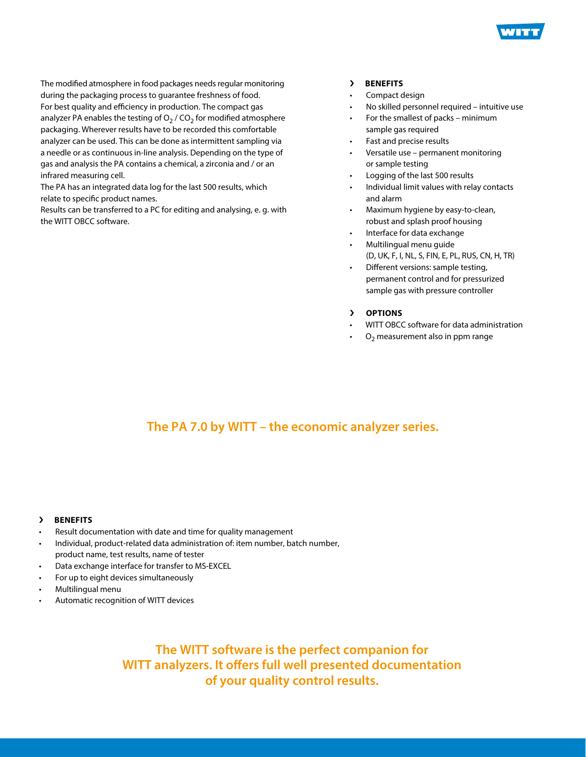

The modified atmosphere in food packages needs regular monitoring during the packaging process to guarantee freshness of food. For best quality and efficiency in production. The compact gas analyzer PA enables the testing of  $O<sub>2</sub>$  / CO<sub>2</sub> for modified atmosphere packaging. Wherever results have to be recorded this comfortable analyzer can be used. This can be done as intermittent sampling via a needle or as continuous in-line analysis. Depending on the type of gas and analysis the PA contains a chemical, a zirconia and / or an infrared measuring cell.

The PA has an integrated data log for the last 500 results, which relate to specific product names.

Results can be transferred to a PC for editing and analysing, e. g. with the WITT OBCC software.

# › **BENEFITS**

- Compact design
- No skilled personnel required intuitive use
- For the smallest of packs minimum sample gas required
- Fast and precise results
- Versatile use permanent monitoring or sample testing
- Logging of the last 500 results
- Individual limit values with relay contacts and alarm
- Maximum hygiene by easy-to-clean, robust and splash proof housing
- Interface for data exchange
- Multilingual menu guide (D, UK, F, I, NL, S, FIN, E, PL, RUS, CN, H, TR)
- Different versions: sample testing, permanent control and for pressurized sample gas with pressure controller
- › **OPTIONS**
- WITT OBCC software for data administration
- $O<sub>2</sub>$  measurement also in ppm range

# **The PA 7.0 by WITT – the economic analyzer series.**

# › **BENEFITS**

- Result documentation with date and time for quality management
- Individual, product-related data administration of: item number, batch number, product name, test results, name of tester
- Data exchange interface for transfer to MS-EXCEL
- For up to eight devices simultaneously
- Multilingual menu
- Automatic recognition of WITT devices

**The WITT software is the perfect companion for WITT analyzers. It offers full well presented documentation of your quality control results.**